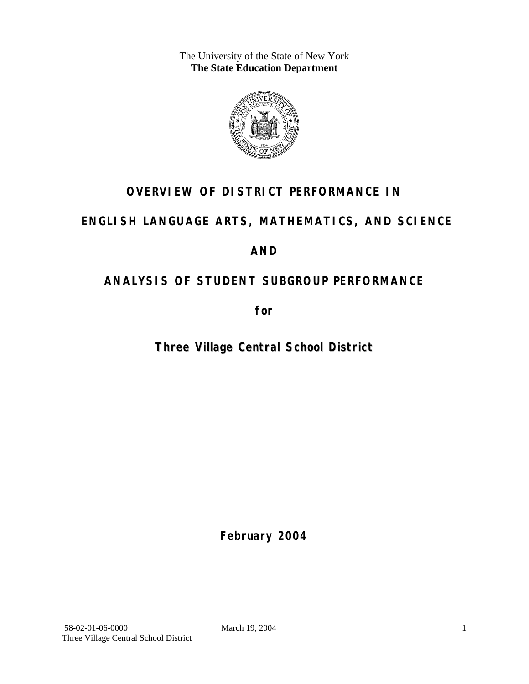The University of the State of New York **The State Education Department** 



# **OVERVIEW OF DISTRICT PERFORMANCE IN**

# **ENGLISH LANGUAGE ARTS, MATHEMATICS, AND SCIENCE**

# **AND**

# **ANALYSIS OF STUDENT SUBGROUP PERFORMANCE**

**for** 

**Three Village Central School District**

**February 2004**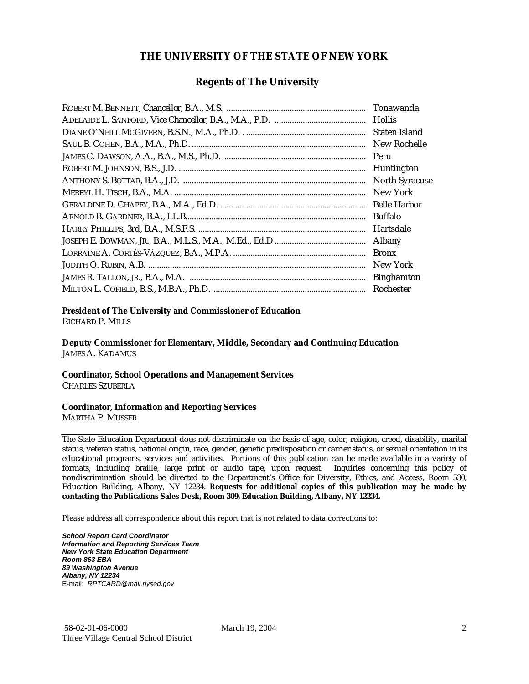#### **THE UNIVERSITY OF THE STATE OF NEW YORK**

#### **Regents of The University**

| Tonawanda             |
|-----------------------|
| <b>Hollis</b>         |
| Staten Island         |
| New Rochelle          |
| Peru                  |
| Huntington            |
| <b>North Syracuse</b> |
| New York              |
| <b>Belle Harbor</b>   |
| Buffalo               |
| Hartsdale             |
| Albany                |
| <b>Bronx</b>          |
| New York              |
| <b>Binghamton</b>     |
| Rochester             |

#### **President of The University and Commissioner of Education**

RICHARD P. MILLS

**Deputy Commissioner for Elementary, Middle, Secondary and Continuing Education**  JAMES A. KADAMUS

#### **Coordinator, School Operations and Management Services**

CHARLES SZUBERLA

#### **Coordinator, Information and Reporting Services**

MARTHA P. MUSSER

The State Education Department does not discriminate on the basis of age, color, religion, creed, disability, marital status, veteran status, national origin, race, gender, genetic predisposition or carrier status, or sexual orientation in its educational programs, services and activities. Portions of this publication can be made available in a variety of formats, including braille, large print or audio tape, upon request. Inquiries concerning this policy of nondiscrimination should be directed to the Department's Office for Diversity, Ethics, and Access, Room 530, Education Building, Albany, NY 12234. **Requests for additional copies of this publication may be made by contacting the Publications Sales Desk, Room 309, Education Building, Albany, NY 12234.** 

Please address all correspondence about this report that is not related to data corrections to:

*School Report Card Coordinator Information and Reporting Services Team New York State Education Department Room 863 EBA 89 Washington Avenue Albany, NY 12234*  E-mail: *RPTCARD@mail.nysed.gov*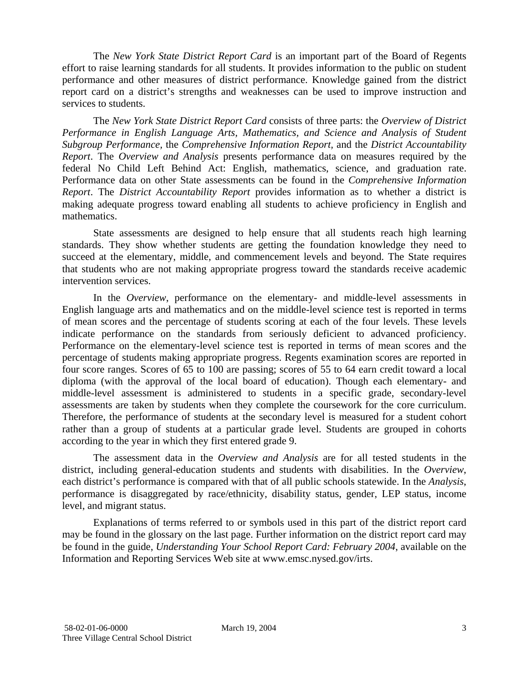The *New York State District Report Card* is an important part of the Board of Regents effort to raise learning standards for all students. It provides information to the public on student performance and other measures of district performance. Knowledge gained from the district report card on a district's strengths and weaknesses can be used to improve instruction and services to students.

The *New York State District Report Card* consists of three parts: the *Overview of District Performance in English Language Arts, Mathematics, and Science and Analysis of Student Subgroup Performance,* the *Comprehensive Information Report,* and the *District Accountability Report*. The *Overview and Analysis* presents performance data on measures required by the federal No Child Left Behind Act: English, mathematics, science, and graduation rate. Performance data on other State assessments can be found in the *Comprehensive Information Report*. The *District Accountability Report* provides information as to whether a district is making adequate progress toward enabling all students to achieve proficiency in English and mathematics.

State assessments are designed to help ensure that all students reach high learning standards. They show whether students are getting the foundation knowledge they need to succeed at the elementary, middle, and commencement levels and beyond. The State requires that students who are not making appropriate progress toward the standards receive academic intervention services.

In the *Overview*, performance on the elementary- and middle-level assessments in English language arts and mathematics and on the middle-level science test is reported in terms of mean scores and the percentage of students scoring at each of the four levels. These levels indicate performance on the standards from seriously deficient to advanced proficiency. Performance on the elementary-level science test is reported in terms of mean scores and the percentage of students making appropriate progress. Regents examination scores are reported in four score ranges. Scores of 65 to 100 are passing; scores of 55 to 64 earn credit toward a local diploma (with the approval of the local board of education). Though each elementary- and middle-level assessment is administered to students in a specific grade, secondary-level assessments are taken by students when they complete the coursework for the core curriculum. Therefore, the performance of students at the secondary level is measured for a student cohort rather than a group of students at a particular grade level. Students are grouped in cohorts according to the year in which they first entered grade 9.

The assessment data in the *Overview and Analysis* are for all tested students in the district, including general-education students and students with disabilities. In the *Overview*, each district's performance is compared with that of all public schools statewide. In the *Analysis*, performance is disaggregated by race/ethnicity, disability status, gender, LEP status, income level, and migrant status.

Explanations of terms referred to or symbols used in this part of the district report card may be found in the glossary on the last page. Further information on the district report card may be found in the guide, *Understanding Your School Report Card: February 2004*, available on the Information and Reporting Services Web site at www.emsc.nysed.gov/irts.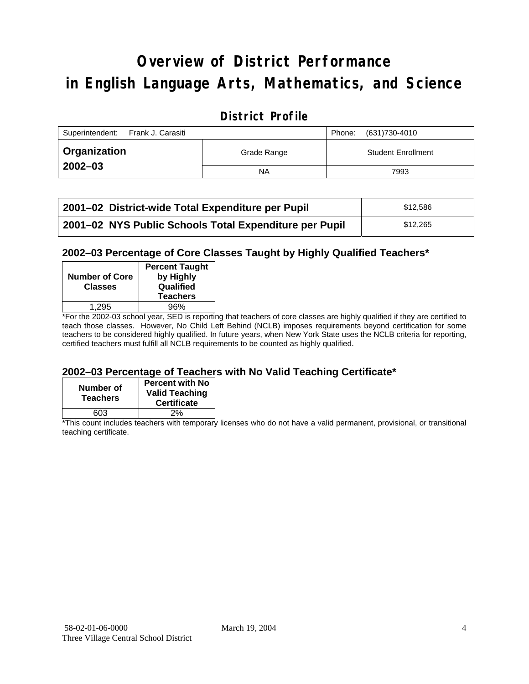# **Overview of District Performance in English Language Arts, Mathematics, and Science**

### **District Profile**

| Superintendent:<br>Frank J. Carasiti |             | Phone: | (631)730-4010             |
|--------------------------------------|-------------|--------|---------------------------|
| ∣ Organization                       | Grade Range |        | <b>Student Enrollment</b> |
| $2002 - 03$                          | <b>NA</b>   |        | 7993                      |

| 2001–02 District-wide Total Expenditure per Pupil      | \$12.586 |
|--------------------------------------------------------|----------|
| 2001-02 NYS Public Schools Total Expenditure per Pupil | \$12,265 |

#### **2002–03 Percentage of Core Classes Taught by Highly Qualified Teachers\***

| <b>Number of Core</b><br><b>Classes</b> | <b>Percent Taught</b><br>by Highly<br>Qualified<br><b>Teachers</b> |
|-----------------------------------------|--------------------------------------------------------------------|
| 1.295                                   | 96%                                                                |
| . .                                     |                                                                    |

\*For the 2002-03 school year, SED is reporting that teachers of core classes are highly qualified if they are certified to teach those classes. However, No Child Left Behind (NCLB) imposes requirements beyond certification for some teachers to be considered highly qualified. In future years, when New York State uses the NCLB criteria for reporting, certified teachers must fulfill all NCLB requirements to be counted as highly qualified.

#### **2002–03 Percentage of Teachers with No Valid Teaching Certificate\***

| Number of<br><b>Teachers</b> | <b>Percent with No</b><br><b>Valid Teaching</b><br><b>Certificate</b> |
|------------------------------|-----------------------------------------------------------------------|
| 603                          | 2%                                                                    |

\*This count includes teachers with temporary licenses who do not have a valid permanent, provisional, or transitional teaching certificate.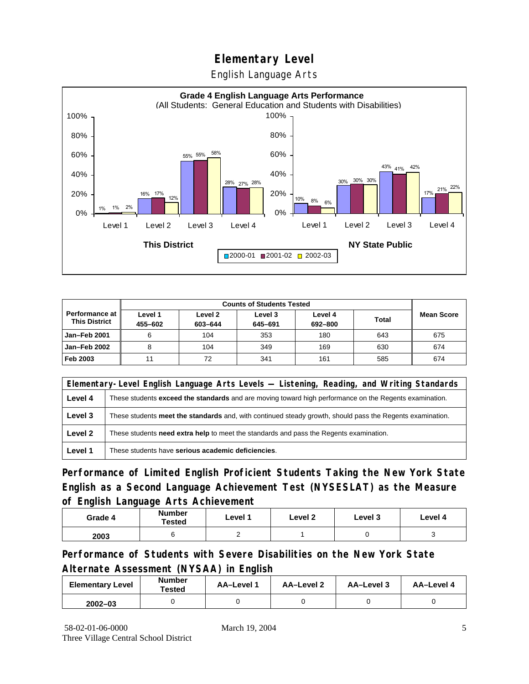English Language Arts



| <b>Counts of Students Tested</b>       |                    |                    |                    |                    |              |                   |
|----------------------------------------|--------------------|--------------------|--------------------|--------------------|--------------|-------------------|
| Performance at<br><b>This District</b> | Level 1<br>455-602 | Level 2<br>603-644 | Level 3<br>645-691 | Level 4<br>692-800 | <b>Total</b> | <b>Mean Score</b> |
| Jan-Feb 2001                           | 6                  | 104                | 353                | 180                | 643          | 675               |
| <b>Jan-Feb 2002</b>                    |                    | 104                | 349                | 169                | 630          | 674               |
| Feb 2003                               | 11                 | 72                 | 341                | 161                | 585          | 674               |

|         | Elementary-Level English Language Arts Levels — Listening, Reading, and Writing Standards                     |  |  |  |  |  |
|---------|---------------------------------------------------------------------------------------------------------------|--|--|--|--|--|
| Level 4 | These students <b>exceed the standards</b> and are moving toward high performance on the Regents examination. |  |  |  |  |  |
| Level 3 | These students meet the standards and, with continued steady growth, should pass the Regents examination.     |  |  |  |  |  |
| Level 2 | These students <b>need extra help</b> to meet the standards and pass the Regents examination.                 |  |  |  |  |  |
| Level 1 | These students have serious academic deficiencies.                                                            |  |  |  |  |  |

**Performance of Limited English Proficient Students Taking the New York State English as a Second Language Achievement Test (NYSESLAT) as the Measure of English Language Arts Achievement**

| Grade 4 | <b>Number</b><br>Tested | Level 1 | Level 2 | Level 3 | Level 4 |
|---------|-------------------------|---------|---------|---------|---------|
| 2003    |                         |         |         |         |         |

**Performance of Students with Severe Disabilities on the New York State Alternate Assessment (NYSAA) in English** 

| <b>Elementary Level</b> | <b>Number</b><br>Tested | AA-Level | AA-Level 2 | AA-Level 3 | AA-Level 4 |
|-------------------------|-------------------------|----------|------------|------------|------------|
| $2002 - 03$             |                         |          |            |            |            |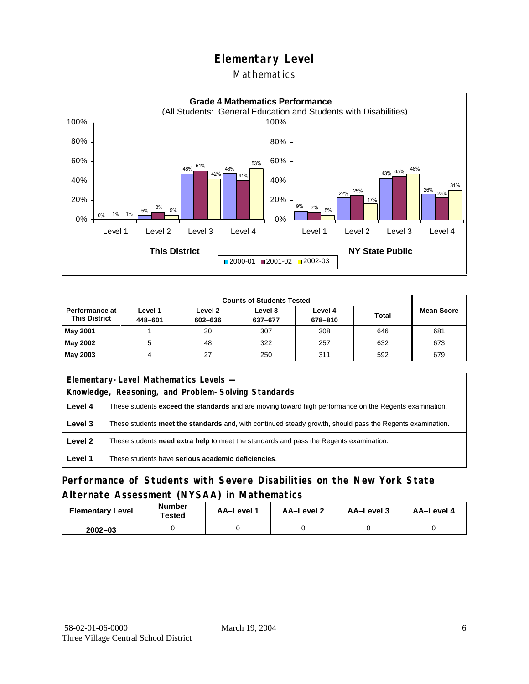#### Mathematics



| <b>Counts of Students Tested</b>              |                    |                    |                    |                    |              |            |
|-----------------------------------------------|--------------------|--------------------|--------------------|--------------------|--------------|------------|
| <b>Performance at</b><br><b>This District</b> | Level 1<br>448-601 | Level 2<br>602-636 | Level 3<br>637-677 | Level 4<br>678-810 | <b>Total</b> | Mean Score |
| May 2001                                      |                    | 30                 | 307                | 308                | 646          | 681        |
| May 2002                                      |                    | 48                 | 322                | 257                | 632          | 673        |
| May 2003                                      |                    | 27                 | 250                | 311                | 592          | 679        |

| Elementary-Level Mathematics Levels - |                                                                                                               |  |  |  |
|---------------------------------------|---------------------------------------------------------------------------------------------------------------|--|--|--|
|                                       | Knowledge, Reasoning, and Problem-Solving Standards                                                           |  |  |  |
| Level 4                               | These students <b>exceed the standards</b> and are moving toward high performance on the Regents examination. |  |  |  |
| Level 3                               | These students meet the standards and, with continued steady growth, should pass the Regents examination.     |  |  |  |
| Level 2                               | These students need extra help to meet the standards and pass the Regents examination.                        |  |  |  |
| Level 1                               | These students have serious academic deficiencies.                                                            |  |  |  |

#### **Performance of Students with Severe Disabilities on the New York State Alternate Assessment (NYSAA) in Mathematics**

| <b>Elementary Level</b> | <b>Number</b><br>Tested | AA-Level 1 | AA-Level 2 | AA-Level 3 | AA-Level 4 |
|-------------------------|-------------------------|------------|------------|------------|------------|
| $2002 - 03$             |                         |            |            |            |            |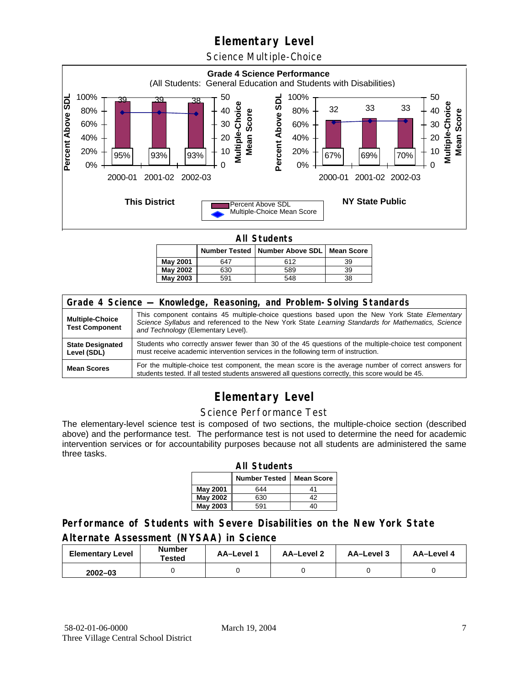Science Multiple-Choice



**All Students** 

|                 |     | Number Tested   Number Above SDL   Mean Score |    |
|-----------------|-----|-----------------------------------------------|----|
| May 2001        | 647 | 612                                           | 39 |
| <b>May 2002</b> | 630 | 589                                           | 39 |
| May 2003        | 591 | 548                                           | 38 |

| Grade 4 Science - Knowledge, Reasoning, and Problem-Solving Standards |                                                                                                                                                                                                                                          |  |  |  |  |
|-----------------------------------------------------------------------|------------------------------------------------------------------------------------------------------------------------------------------------------------------------------------------------------------------------------------------|--|--|--|--|
| <b>Multiple-Choice</b><br><b>Test Component</b>                       | This component contains 45 multiple-choice questions based upon the New York State Elementary<br>Science Syllabus and referenced to the New York State Learning Standards for Mathematics, Science<br>and Technology (Elementary Level). |  |  |  |  |
| <b>State Designated</b><br>Level (SDL)                                | Students who correctly answer fewer than 30 of the 45 questions of the multiple-choice test component<br>must receive academic intervention services in the following term of instruction.                                               |  |  |  |  |
| <b>Mean Scores</b>                                                    | For the multiple-choice test component, the mean score is the average number of correct answers for<br>students tested. If all tested students answered all questions correctly, this score would be 45.                                 |  |  |  |  |

# **Elementary Level**

#### Science Performance Test

The elementary-level science test is composed of two sections, the multiple-choice section (described above) and the performance test. The performance test is not used to determine the need for academic intervention services or for accountability purposes because not all students are administered the same three tasks.

| <b>All Students</b>                       |     |    |  |  |  |  |  |
|-------------------------------------------|-----|----|--|--|--|--|--|
| <b>Number Tested</b><br><b>Mean Score</b> |     |    |  |  |  |  |  |
| <b>May 2001</b>                           | 644 | 41 |  |  |  |  |  |
| May 2002                                  | 630 | 42 |  |  |  |  |  |
| <b>May 2003</b>                           | 591 | 40 |  |  |  |  |  |

#### **Performance of Students with Severe Disabilities on the New York State Alternate Assessment (NYSAA) in Science**

| <b>Elementary Level</b> | <b>Number</b><br>Tested | AA-Level | <b>AA-Level 2</b> | AA-Level 3 | AA-Level 4 |
|-------------------------|-------------------------|----------|-------------------|------------|------------|
| $2002 - 03$             |                         |          |                   |            |            |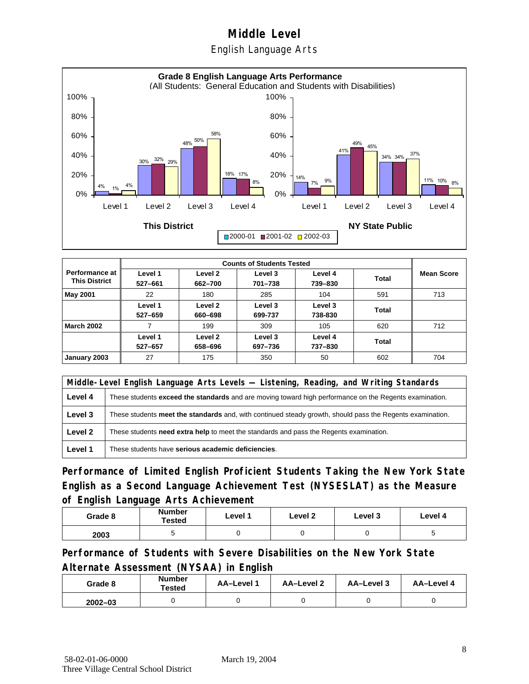English Language Arts



|                                               |                    | <b>Counts of Students Tested</b> |                    |                    |       |                   |  |  |
|-----------------------------------------------|--------------------|----------------------------------|--------------------|--------------------|-------|-------------------|--|--|
| <b>Performance at</b><br><b>This District</b> | Level 1<br>527-661 | Level 2<br>662-700               | Level 3<br>701-738 | Level 4<br>739-830 | Total | <b>Mean Score</b> |  |  |
| <b>May 2001</b>                               | 22                 | 180                              | 285                | 104                | 591   | 713               |  |  |
|                                               | Level 1<br>527-659 | Level 2<br>660-698               | Level 3<br>699-737 | Level 3<br>738-830 | Total |                   |  |  |
| <b>March 2002</b>                             |                    | 199                              | 309                | 105                | 620   | 712               |  |  |
|                                               | Level 1<br>527-657 | Level 2<br>658-696               | Level 3<br>697-736 | Level 4<br>737-830 | Total |                   |  |  |
| January 2003                                  | 27                 | 175                              | 350                | 50                 | 602   | 704               |  |  |

|         | Middle-Level English Language Arts Levels — Listening, Reading, and Writing Standards                         |  |  |  |  |
|---------|---------------------------------------------------------------------------------------------------------------|--|--|--|--|
| Level 4 | These students <b>exceed the standards</b> and are moving toward high performance on the Regents examination. |  |  |  |  |
| Level 3 | These students meet the standards and, with continued steady growth, should pass the Regents examination.     |  |  |  |  |
| Level 2 | These students <b>need extra help</b> to meet the standards and pass the Regents examination.                 |  |  |  |  |
| Level 1 | These students have serious academic deficiencies.                                                            |  |  |  |  |

**Performance of Limited English Proficient Students Taking the New York State English as a Second Language Achievement Test (NYSESLAT) as the Measure of English Language Arts Achievement**

| Grade 8 | <b>Number</b><br>Tested | Level 1 | Level 2 | Level 3 | Level 4 |
|---------|-------------------------|---------|---------|---------|---------|
| 2003    |                         |         |         |         |         |

**Performance of Students with Severe Disabilities on the New York State Alternate Assessment (NYSAA) in English** 

| Grade 8     | <b>Number</b><br>Tested | AA-Level 1 | AA-Level 2 | AA-Level 3 | AA-Level 4 |
|-------------|-------------------------|------------|------------|------------|------------|
| $2002 - 03$ |                         |            |            |            |            |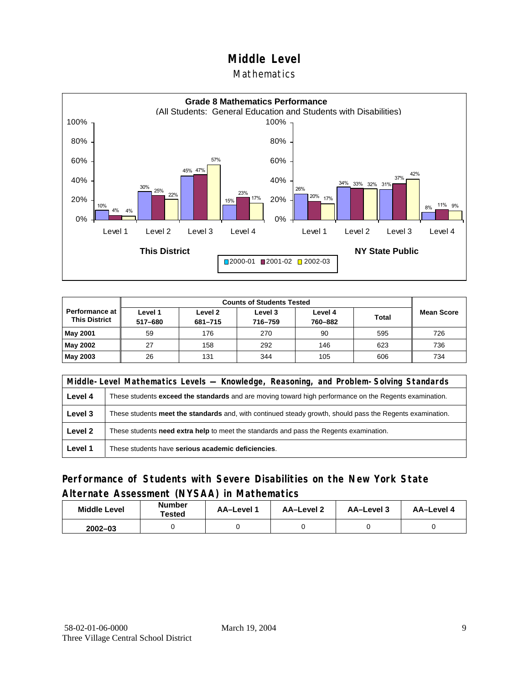#### Mathematics



| <b>Performance at</b><br><b>This District</b> | Level 1<br>517-680 | Level 2<br>681-715 | Level 3<br>716-759 | Level 4<br>760-882 | <b>Total</b> | <b>Mean Score</b> |
|-----------------------------------------------|--------------------|--------------------|--------------------|--------------------|--------------|-------------------|
| <b>May 2001</b>                               | 59                 | 176                | 270                | 90                 | 595          | 726               |
| May 2002                                      | 27                 | 158                | 292                | 146                | 623          | 736               |
| May 2003                                      | 26                 | 131                | 344                | 105                | 606          | 734               |

|         | Middle-Level Mathematics Levels — Knowledge, Reasoning, and Problem-Solving Standards                         |  |  |  |  |
|---------|---------------------------------------------------------------------------------------------------------------|--|--|--|--|
| Level 4 | These students <b>exceed the standards</b> and are moving toward high performance on the Regents examination. |  |  |  |  |
| Level 3 | These students meet the standards and, with continued steady growth, should pass the Regents examination.     |  |  |  |  |
| Level 2 | These students <b>need extra help</b> to meet the standards and pass the Regents examination.                 |  |  |  |  |
| Level 1 | These students have serious academic deficiencies.                                                            |  |  |  |  |

#### **Performance of Students with Severe Disabilities on the New York State Alternate Assessment (NYSAA) in Mathematics**

| <b>Middle Level</b> | <b>Number</b><br>Tested | <b>AA–Level</b> 1 | AA-Level 2 | AA-Level 3 | AA-Level 4 |
|---------------------|-------------------------|-------------------|------------|------------|------------|
| $2002 - 03$         |                         |                   |            |            |            |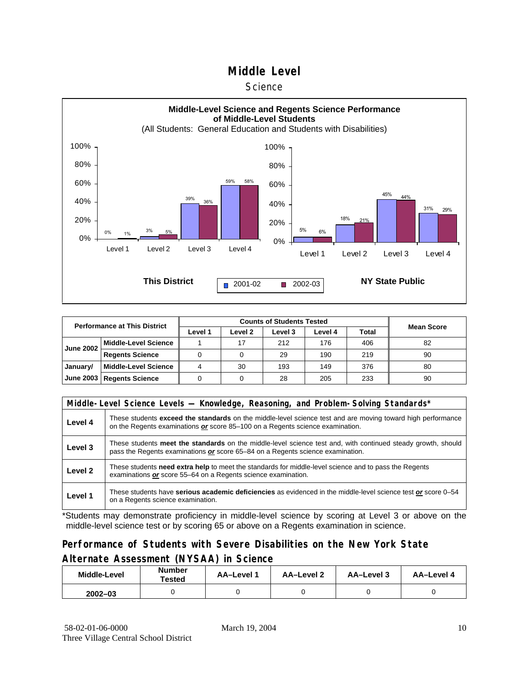#### **Science**



| <b>Performance at This District</b> |                             |         |         |         |         |       |                   |
|-------------------------------------|-----------------------------|---------|---------|---------|---------|-------|-------------------|
|                                     |                             | Level 1 | Level 2 | Level 3 | Level 4 | Total | <b>Mean Score</b> |
| <b>June 2002</b>                    | <b>Middle-Level Science</b> |         |         | 212     | 176     | 406   | 82                |
|                                     | <b>Regents Science</b>      |         |         | 29      | 190     | 219   | 90                |
| January/                            | <b>Middle-Level Science</b> |         | 30      | 193     | 149     | 376   | 80                |
|                                     | June 2003   Regents Science |         |         | 28      | 205     | 233   | 90                |

|         | Middle-Level Science Levels — Knowledge, Reasoning, and Problem-Solving Standards*                                                                                                             |  |  |  |  |  |  |  |  |
|---------|------------------------------------------------------------------------------------------------------------------------------------------------------------------------------------------------|--|--|--|--|--|--|--|--|
| Level 4 | These students exceed the standards on the middle-level science test and are moving toward high performance<br>on the Regents examinations or score 85-100 on a Regents science examination.   |  |  |  |  |  |  |  |  |
| Level 3 | These students meet the standards on the middle-level science test and, with continued steady growth, should<br>pass the Regents examinations or score 65–84 on a Regents science examination. |  |  |  |  |  |  |  |  |
| Level 2 | These students need extra help to meet the standards for middle-level science and to pass the Regents<br>examinations or score 55-64 on a Regents science examination.                         |  |  |  |  |  |  |  |  |
| Level 1 | These students have serious academic deficiencies as evidenced in the middle-level science test or score 0–54<br>on a Regents science examination.                                             |  |  |  |  |  |  |  |  |

\*Students may demonstrate proficiency in middle-level science by scoring at Level 3 or above on the middle-level science test or by scoring 65 or above on a Regents examination in science.

### **Performance of Students with Severe Disabilities on the New York State Alternate Assessment (NYSAA) in Science**

| Middle-Level | Number<br>Tested | AA-Level 1 | <b>AA-Level 2</b> | AA-Level 3 | AA-Level 4 |  |
|--------------|------------------|------------|-------------------|------------|------------|--|
| $2002 - 03$  |                  |            |                   |            |            |  |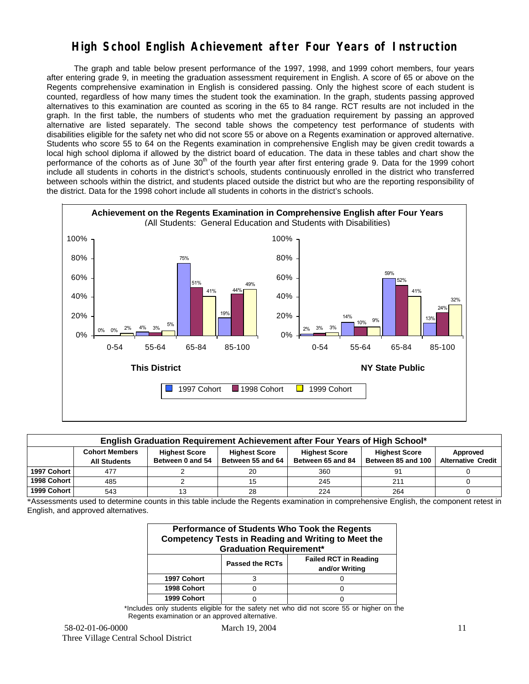## **High School English Achievement after Four Years of Instruction**

 The graph and table below present performance of the 1997, 1998, and 1999 cohort members, four years after entering grade 9, in meeting the graduation assessment requirement in English. A score of 65 or above on the Regents comprehensive examination in English is considered passing. Only the highest score of each student is counted, regardless of how many times the student took the examination. In the graph, students passing approved alternatives to this examination are counted as scoring in the 65 to 84 range. RCT results are not included in the graph. In the first table, the numbers of students who met the graduation requirement by passing an approved alternative are listed separately. The second table shows the competency test performance of students with disabilities eligible for the safety net who did not score 55 or above on a Regents examination or approved alternative. Students who score 55 to 64 on the Regents examination in comprehensive English may be given credit towards a local high school diploma if allowed by the district board of education. The data in these tables and chart show the performance of the cohorts as of June  $30<sup>th</sup>$  of the fourth year after first entering grade 9. Data for the 1999 cohort include all students in cohorts in the district's schools, students continuously enrolled in the district who transferred between schools within the district, and students placed outside the district but who are the reporting responsibility of the district. Data for the 1998 cohort include all students in cohorts in the district's schools.



|             | English Graduation Requirement Achievement after Four Years of High School*                                                                                                                                                      |  |    |     |                 |  |  |  |  |  |  |  |  |
|-------------|----------------------------------------------------------------------------------------------------------------------------------------------------------------------------------------------------------------------------------|--|----|-----|-----------------|--|--|--|--|--|--|--|--|
|             | <b>Cohort Members</b><br><b>Highest Score</b><br><b>Highest Score</b><br><b>Highest Score</b><br><b>Highest Score</b><br>Between 55 and 64<br>Between 85 and 100<br>Between 65 and 84<br>Between 0 and 54<br><b>All Students</b> |  |    |     |                 |  |  |  |  |  |  |  |  |
| 1997 Cohort | 477                                                                                                                                                                                                                              |  | 20 | 360 | 91              |  |  |  |  |  |  |  |  |
| 1998 Cohort | 485                                                                                                                                                                                                                              |  |    | 245 | 21 <sup>1</sup> |  |  |  |  |  |  |  |  |
| 1999 Cohort | 543                                                                                                                                                                                                                              |  | 28 | 224 | 264             |  |  |  |  |  |  |  |  |

\*Assessments used to determine counts in this table include the Regents examination in comprehensive English, the component retest in English, and approved alternatives.

| Performance of Students Who Took the Regents<br><b>Competency Tests in Reading and Writing to Meet the</b><br><b>Graduation Requirement*</b> |  |  |  |  |  |  |  |  |
|----------------------------------------------------------------------------------------------------------------------------------------------|--|--|--|--|--|--|--|--|
| <b>Failed RCT in Reading</b><br><b>Passed the RCTs</b><br>and/or Writing                                                                     |  |  |  |  |  |  |  |  |
| 1997 Cohort                                                                                                                                  |  |  |  |  |  |  |  |  |
| 1998 Cohort                                                                                                                                  |  |  |  |  |  |  |  |  |
| 1999 Cohort                                                                                                                                  |  |  |  |  |  |  |  |  |

\*Includes only students eligible for the safety net who did not score 55 or higher on the Regents examination or an approved alternative.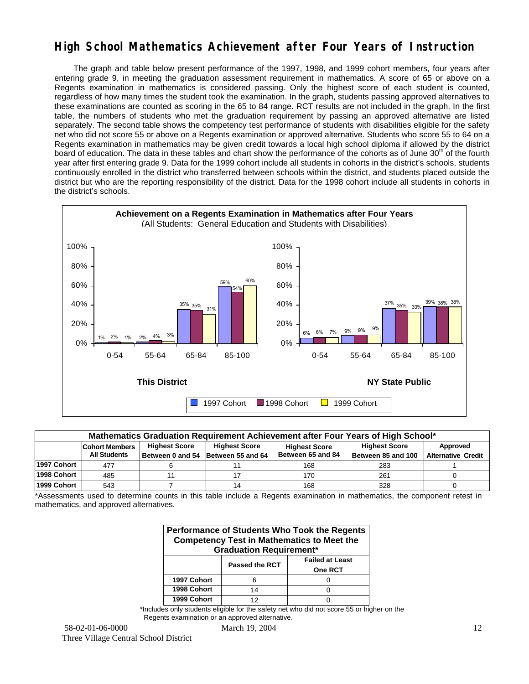## **High School Mathematics Achievement after Four Years of Instruction**

 The graph and table below present performance of the 1997, 1998, and 1999 cohort members, four years after entering grade 9, in meeting the graduation assessment requirement in mathematics. A score of 65 or above on a Regents examination in mathematics is considered passing. Only the highest score of each student is counted, regardless of how many times the student took the examination. In the graph, students passing approved alternatives to these examinations are counted as scoring in the 65 to 84 range. RCT results are not included in the graph. In the first table, the numbers of students who met the graduation requirement by passing an approved alternative are listed separately. The second table shows the competency test performance of students with disabilities eligible for the safety net who did not score 55 or above on a Regents examination or approved alternative. Students who score 55 to 64 on a Regents examination in mathematics may be given credit towards a local high school diploma if allowed by the district board of education. The data in these tables and chart show the performance of the cohorts as of June 30<sup>th</sup> of the fourth year after first entering grade 9. Data for the 1999 cohort include all students in cohorts in the district's schools, students continuously enrolled in the district who transferred between schools within the district, and students placed outside the district but who are the reporting responsibility of the district. Data for the 1998 cohort include all students in cohorts in the district's schools.



| Mathematics Graduation Requirement Achievement after Four Years of High School* |                                                                                                                                   |  |                                    |                   |                    |                           |  |  |  |  |
|---------------------------------------------------------------------------------|-----------------------------------------------------------------------------------------------------------------------------------|--|------------------------------------|-------------------|--------------------|---------------------------|--|--|--|--|
|                                                                                 | <b>Highest Score</b><br><b>Highest Score</b><br><b>Highest Score</b><br>Approved<br><b>Cohort Members</b><br><b>Highest Score</b> |  |                                    |                   |                    |                           |  |  |  |  |
|                                                                                 | <b>All Students</b>                                                                                                               |  | Between 0 and 54 Between 55 and 64 | Between 65 and 84 | Between 85 and 100 | <b>Alternative Credit</b> |  |  |  |  |
| 1997 Cohort                                                                     | 477                                                                                                                               |  |                                    | 168               | 283                |                           |  |  |  |  |
| 1998 Cohort                                                                     | 485                                                                                                                               |  |                                    | 170               | 261                |                           |  |  |  |  |
| 1999 Cohort                                                                     | 543                                                                                                                               |  | 14                                 | 168               | 328                |                           |  |  |  |  |

\*Assessments used to determine counts in this table include a Regents examination in mathematics, the component retest in mathematics, and approved alternatives.

| Performance of Students Who Took the Regents<br><b>Competency Test in Mathematics to Meet the</b><br><b>Graduation Requirement*</b> |    |  |  |  |  |  |  |  |
|-------------------------------------------------------------------------------------------------------------------------------------|----|--|--|--|--|--|--|--|
| <b>Failed at Least</b><br><b>Passed the RCT</b><br>One RCT                                                                          |    |  |  |  |  |  |  |  |
| 1997 Cohort                                                                                                                         |    |  |  |  |  |  |  |  |
| 1998 Cohort                                                                                                                         | 14 |  |  |  |  |  |  |  |
| 1999 Cohort                                                                                                                         |    |  |  |  |  |  |  |  |

\*Includes only students eligible for the safety net who did not score 55 or higher on the Regents examination or an approved alternative.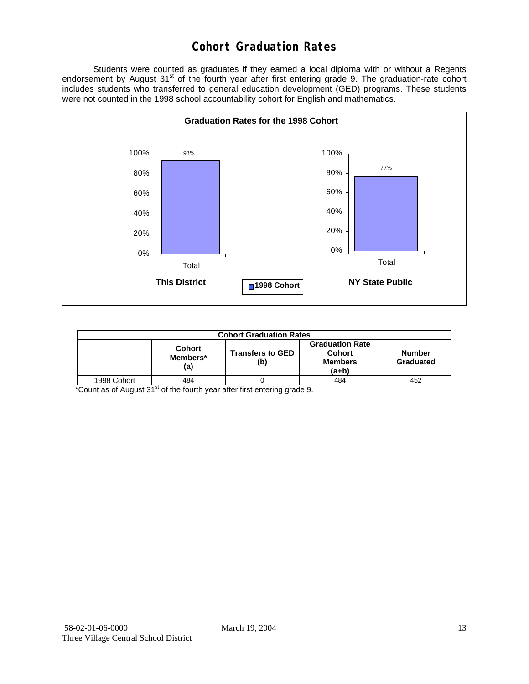## **Cohort Graduation Rates**

 Students were counted as graduates if they earned a local diploma with or without a Regents endorsement by August 31<sup>st</sup> of the fourth year after first entering grade 9. The graduation-rate cohort includes students who transferred to general education development (GED) programs. These students were not counted in the 1998 school accountability cohort for English and mathematics.



| <b>Cohort Graduation Rates</b> |                                  |                                |                                                             |                            |  |  |  |  |  |
|--------------------------------|----------------------------------|--------------------------------|-------------------------------------------------------------|----------------------------|--|--|--|--|--|
|                                | <b>Cohort</b><br>Members*<br>(a) | <b>Transfers to GED</b><br>(b) | <b>Graduation Rate</b><br>Cohort<br><b>Members</b><br>(a+b) | <b>Number</b><br>Graduated |  |  |  |  |  |
| 1998 Cohort                    | 484                              |                                | 484                                                         | 452                        |  |  |  |  |  |

\*Count as of August 31<sup>st</sup> of the fourth year after first entering grade 9.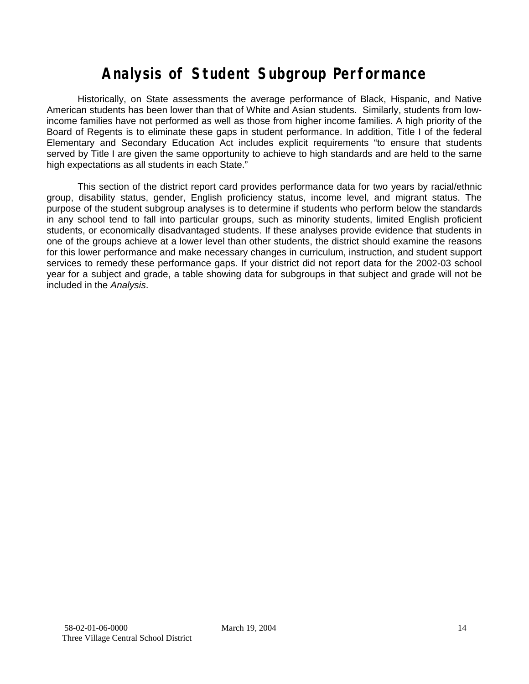# **Analysis of Student Subgroup Performance**

Historically, on State assessments the average performance of Black, Hispanic, and Native American students has been lower than that of White and Asian students. Similarly, students from lowincome families have not performed as well as those from higher income families. A high priority of the Board of Regents is to eliminate these gaps in student performance. In addition, Title I of the federal Elementary and Secondary Education Act includes explicit requirements "to ensure that students served by Title I are given the same opportunity to achieve to high standards and are held to the same high expectations as all students in each State."

This section of the district report card provides performance data for two years by racial/ethnic group, disability status, gender, English proficiency status, income level, and migrant status. The purpose of the student subgroup analyses is to determine if students who perform below the standards in any school tend to fall into particular groups, such as minority students, limited English proficient students, or economically disadvantaged students. If these analyses provide evidence that students in one of the groups achieve at a lower level than other students, the district should examine the reasons for this lower performance and make necessary changes in curriculum, instruction, and student support services to remedy these performance gaps. If your district did not report data for the 2002-03 school year for a subject and grade, a table showing data for subgroups in that subject and grade will not be included in the *Analysis*.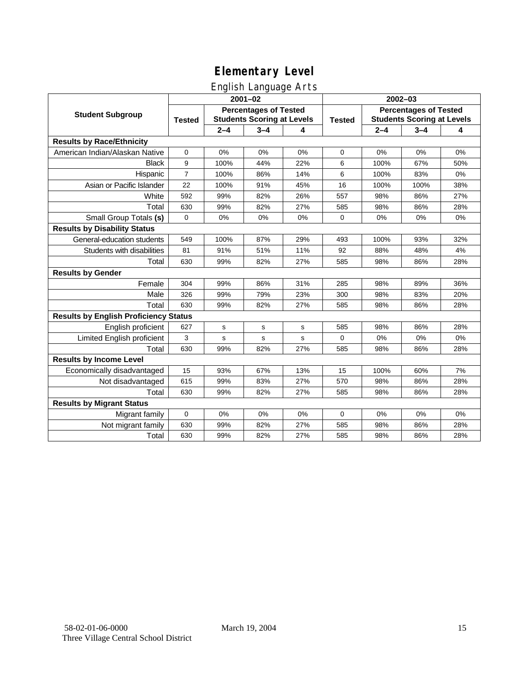English Language Arts

|                                              | $2001 - 02$                                                                        |             |             |               | $2002 - 03$                                                       |         |         |     |
|----------------------------------------------|------------------------------------------------------------------------------------|-------------|-------------|---------------|-------------------------------------------------------------------|---------|---------|-----|
| <b>Student Subgroup</b>                      | <b>Percentages of Tested</b><br><b>Students Scoring at Levels</b><br><b>Tested</b> |             |             | <b>Tested</b> | <b>Percentages of Tested</b><br><b>Students Scoring at Levels</b> |         |         |     |
|                                              |                                                                                    | $2 - 4$     | $3 - 4$     | 4             |                                                                   | $2 - 4$ | $3 - 4$ | 4   |
| <b>Results by Race/Ethnicity</b>             |                                                                                    |             |             |               |                                                                   |         |         |     |
| American Indian/Alaskan Native               | 0                                                                                  | 0%          | 0%          | 0%            | $\Omega$                                                          | 0%      | 0%      | 0%  |
| <b>Black</b>                                 | 9                                                                                  | 100%        | 44%         | 22%           | 6                                                                 | 100%    | 67%     | 50% |
| Hispanic                                     | $\overline{7}$                                                                     | 100%        | 86%         | 14%           | 6                                                                 | 100%    | 83%     | 0%  |
| Asian or Pacific Islander                    | 22                                                                                 | 100%        | 91%         | 45%           | 16                                                                | 100%    | 100%    | 38% |
| White                                        | 592                                                                                | 99%         | 82%         | 26%           | 557                                                               | 98%     | 86%     | 27% |
| Total                                        | 630                                                                                | 99%         | 82%         | 27%           | 585                                                               | 98%     | 86%     | 28% |
| Small Group Totals (s)                       | 0                                                                                  | 0%          | 0%          | 0%            | $\Omega$                                                          | 0%      | 0%      | 0%  |
| <b>Results by Disability Status</b>          |                                                                                    |             |             |               |                                                                   |         |         |     |
| General-education students                   | 549                                                                                | 100%        | 87%         | 29%           | 493                                                               | 100%    | 93%     | 32% |
| Students with disabilities                   | 81                                                                                 | 91%         | 51%         | 11%           | 92                                                                | 88%     | 48%     | 4%  |
| Total                                        | 630                                                                                | 99%         | 82%         | 27%           | 585                                                               | 98%     | 86%     | 28% |
| <b>Results by Gender</b>                     |                                                                                    |             |             |               |                                                                   |         |         |     |
| Female                                       | 304                                                                                | 99%         | 86%         | 31%           | 285                                                               | 98%     | 89%     | 36% |
| Male                                         | 326                                                                                | 99%         | 79%         | 23%           | 300                                                               | 98%     | 83%     | 20% |
| Total                                        | 630                                                                                | 99%         | 82%         | 27%           | 585                                                               | 98%     | 86%     | 28% |
| <b>Results by English Proficiency Status</b> |                                                                                    |             |             |               |                                                                   |         |         |     |
| English proficient                           | 627                                                                                | $\mathbf s$ | $\mathbf s$ | s             | 585                                                               | 98%     | 86%     | 28% |
| Limited English proficient                   | 3                                                                                  | s           | s           | s             | $\Omega$                                                          | 0%      | 0%      | 0%  |
| Total                                        | 630                                                                                | 99%         | 82%         | 27%           | 585                                                               | 98%     | 86%     | 28% |
| <b>Results by Income Level</b>               |                                                                                    |             |             |               |                                                                   |         |         |     |
| Economically disadvantaged                   | 15                                                                                 | 93%         | 67%         | 13%           | 15                                                                | 100%    | 60%     | 7%  |
| Not disadvantaged                            | 615                                                                                | 99%         | 83%         | 27%           | 570                                                               | 98%     | 86%     | 28% |
| Total                                        | 630                                                                                | 99%         | 82%         | 27%           | 585                                                               | 98%     | 86%     | 28% |
| <b>Results by Migrant Status</b>             |                                                                                    |             |             |               |                                                                   |         |         |     |
| Migrant family                               | 0                                                                                  | 0%          | 0%          | 0%            | $\Omega$                                                          | 0%      | $0\%$   | 0%  |
| Not migrant family                           | 630                                                                                | 99%         | 82%         | 27%           | 585                                                               | 98%     | 86%     | 28% |
| Total                                        | 630                                                                                | 99%         | 82%         | 27%           | 585                                                               | 98%     | 86%     | 28% |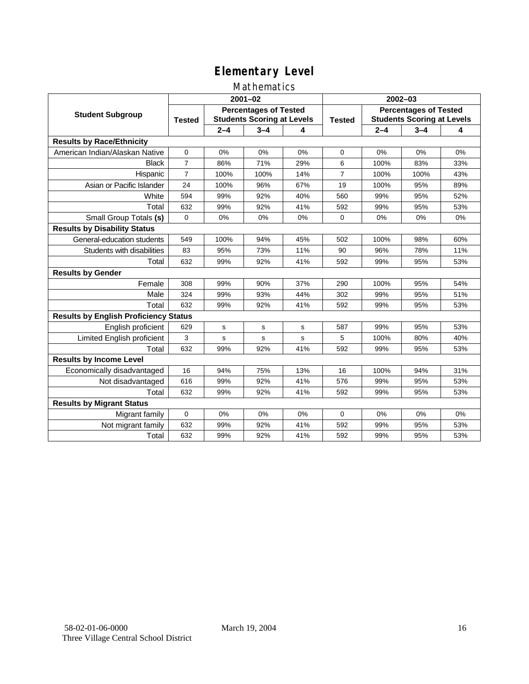#### Mathematics

|                                              |                                                                                    |         | $2001 - 02$ |               |                                                                   | $2002 - 03$ |         |     |  |
|----------------------------------------------|------------------------------------------------------------------------------------|---------|-------------|---------------|-------------------------------------------------------------------|-------------|---------|-----|--|
| <b>Student Subgroup</b>                      | <b>Percentages of Tested</b><br><b>Students Scoring at Levels</b><br><b>Tested</b> |         |             | <b>Tested</b> | <b>Percentages of Tested</b><br><b>Students Scoring at Levels</b> |             |         |     |  |
|                                              |                                                                                    | $2 - 4$ | $3 - 4$     | 4             |                                                                   | $2 - 4$     | $3 - 4$ | 4   |  |
| <b>Results by Race/Ethnicity</b>             |                                                                                    |         |             |               |                                                                   |             |         |     |  |
| American Indian/Alaskan Native               | $\mathbf{0}$                                                                       | 0%      | 0%          | 0%            | $\Omega$                                                          | 0%          | 0%      | 0%  |  |
| <b>Black</b>                                 | $\overline{7}$                                                                     | 86%     | 71%         | 29%           | 6                                                                 | 100%        | 83%     | 33% |  |
| Hispanic                                     | $\overline{7}$                                                                     | 100%    | 100%        | 14%           | $\overline{7}$                                                    | 100%        | 100%    | 43% |  |
| Asian or Pacific Islander                    | 24                                                                                 | 100%    | 96%         | 67%           | 19                                                                | 100%        | 95%     | 89% |  |
| White                                        | 594                                                                                | 99%     | 92%         | 40%           | 560                                                               | 99%         | 95%     | 52% |  |
| Total                                        | 632                                                                                | 99%     | 92%         | 41%           | 592                                                               | 99%         | 95%     | 53% |  |
| Small Group Totals (s)                       | $\Omega$                                                                           | 0%      | 0%          | 0%            | $\Omega$                                                          | 0%          | 0%      | 0%  |  |
| <b>Results by Disability Status</b>          |                                                                                    |         |             |               |                                                                   |             |         |     |  |
| General-education students                   | 549                                                                                | 100%    | 94%         | 45%           | 502                                                               | 100%        | 98%     | 60% |  |
| Students with disabilities                   | 83                                                                                 | 95%     | 73%         | 11%           | 90                                                                | 96%         | 78%     | 11% |  |
| Total                                        | 632                                                                                | 99%     | 92%         | 41%           | 592                                                               | 99%         | 95%     | 53% |  |
| <b>Results by Gender</b>                     |                                                                                    |         |             |               |                                                                   |             |         |     |  |
| Female                                       | 308                                                                                | 99%     | 90%         | 37%           | 290                                                               | 100%        | 95%     | 54% |  |
| Male                                         | 324                                                                                | 99%     | 93%         | 44%           | 302                                                               | 99%         | 95%     | 51% |  |
| Total                                        | 632                                                                                | 99%     | 92%         | 41%           | 592                                                               | 99%         | 95%     | 53% |  |
| <b>Results by English Proficiency Status</b> |                                                                                    |         |             |               |                                                                   |             |         |     |  |
| English proficient                           | 629                                                                                | s       | s           | s             | 587                                                               | 99%         | 95%     | 53% |  |
| Limited English proficient                   | 3                                                                                  | s       | $\mathbf s$ | s             | 5                                                                 | 100%        | 80%     | 40% |  |
| Total                                        | 632                                                                                | 99%     | 92%         | 41%           | 592                                                               | 99%         | 95%     | 53% |  |
| <b>Results by Income Level</b>               |                                                                                    |         |             |               |                                                                   |             |         |     |  |
| Economically disadvantaged                   | 16                                                                                 | 94%     | 75%         | 13%           | 16                                                                | 100%        | 94%     | 31% |  |
| Not disadvantaged                            | 616                                                                                | 99%     | 92%         | 41%           | 576                                                               | 99%         | 95%     | 53% |  |
| Total                                        | 632                                                                                | 99%     | 92%         | 41%           | 592                                                               | 99%         | 95%     | 53% |  |
| <b>Results by Migrant Status</b>             |                                                                                    |         |             |               |                                                                   |             |         |     |  |
| Migrant family                               | 0                                                                                  | 0%      | 0%          | 0%            | $\Omega$                                                          | 0%          | $0\%$   | 0%  |  |
| Not migrant family                           | 632                                                                                | 99%     | 92%         | 41%           | 592                                                               | 99%         | 95%     | 53% |  |
| Total                                        | 632                                                                                | 99%     | 92%         | 41%           | 592                                                               | 99%         | 95%     | 53% |  |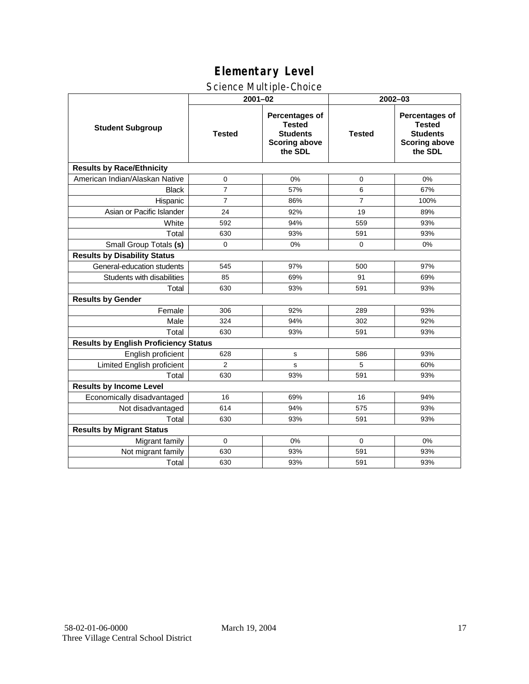#### Science Multiple-Choice

|                                              | $2001 - 02$    |                                                                                       | 2002-03        |                                                                                              |  |  |
|----------------------------------------------|----------------|---------------------------------------------------------------------------------------|----------------|----------------------------------------------------------------------------------------------|--|--|
| <b>Student Subgroup</b>                      | <b>Tested</b>  | Percentages of<br><b>Tested</b><br><b>Students</b><br><b>Scoring above</b><br>the SDL | <b>Tested</b>  | <b>Percentages of</b><br><b>Tested</b><br><b>Students</b><br><b>Scoring above</b><br>the SDL |  |  |
| <b>Results by Race/Ethnicity</b>             |                |                                                                                       |                |                                                                                              |  |  |
| American Indian/Alaskan Native               | 0              | 0%                                                                                    | 0              | 0%                                                                                           |  |  |
| <b>Black</b>                                 | $\overline{7}$ | 57%                                                                                   | 6              | 67%                                                                                          |  |  |
| Hispanic                                     | $\overline{7}$ | 86%                                                                                   | $\overline{7}$ | 100%                                                                                         |  |  |
| Asian or Pacific Islander                    | 24             | 92%                                                                                   | 19             | 89%                                                                                          |  |  |
| White                                        | 592            | 94%                                                                                   | 559            | 93%                                                                                          |  |  |
| Total                                        | 630            | 93%                                                                                   | 591            | 93%                                                                                          |  |  |
| Small Group Totals (s)                       | $\mathbf 0$    | 0%                                                                                    | $\mathbf 0$    | 0%                                                                                           |  |  |
| <b>Results by Disability Status</b>          |                |                                                                                       |                |                                                                                              |  |  |
| General-education students                   | 545            | 97%                                                                                   | 500            | 97%                                                                                          |  |  |
| Students with disabilities                   | 85             | 69%                                                                                   | 91             | 69%                                                                                          |  |  |
| Total                                        | 630            | 93%                                                                                   | 591            | 93%                                                                                          |  |  |
| <b>Results by Gender</b>                     |                |                                                                                       |                |                                                                                              |  |  |
| Female                                       | 306            | 92%                                                                                   | 289            | 93%                                                                                          |  |  |
| Male                                         | 324            | 94%                                                                                   | 302            | 92%                                                                                          |  |  |
| Total                                        | 630            | 93%                                                                                   | 591            | 93%                                                                                          |  |  |
| <b>Results by English Proficiency Status</b> |                |                                                                                       |                |                                                                                              |  |  |
| English proficient                           | 628            | s                                                                                     | 586            | 93%                                                                                          |  |  |
| Limited English proficient                   | $\overline{2}$ | s                                                                                     | 5              | 60%                                                                                          |  |  |
| Total                                        | 630            | 93%                                                                                   | 591            | 93%                                                                                          |  |  |
| <b>Results by Income Level</b>               |                |                                                                                       |                |                                                                                              |  |  |
| Economically disadvantaged                   | 16             | 69%                                                                                   | 16             | 94%                                                                                          |  |  |
| Not disadvantaged                            | 614            | 94%                                                                                   | 575            | 93%                                                                                          |  |  |
| Total                                        | 630            | 93%                                                                                   | 591            | 93%                                                                                          |  |  |
| <b>Results by Migrant Status</b>             |                |                                                                                       |                |                                                                                              |  |  |
| Migrant family                               | $\mathbf 0$    | 0%                                                                                    | $\Omega$       | 0%                                                                                           |  |  |
| Not migrant family                           | 630            | 93%                                                                                   | 591            | 93%                                                                                          |  |  |
| Total                                        | 630            | 93%                                                                                   | 591            | 93%                                                                                          |  |  |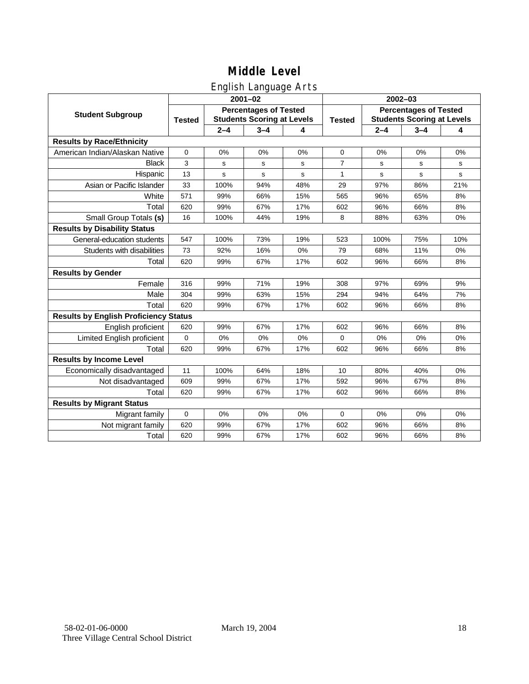## English Language Arts

|                                              | ັ<br>$2001 - 02$                                                                   |         |         |               | 2002-03                                                           |         |         |     |
|----------------------------------------------|------------------------------------------------------------------------------------|---------|---------|---------------|-------------------------------------------------------------------|---------|---------|-----|
| <b>Student Subgroup</b>                      | <b>Percentages of Tested</b><br><b>Students Scoring at Levels</b><br><b>Tested</b> |         |         | <b>Tested</b> | <b>Percentages of Tested</b><br><b>Students Scoring at Levels</b> |         |         |     |
|                                              |                                                                                    | $2 - 4$ | $3 - 4$ | 4             |                                                                   | $2 - 4$ | $3 - 4$ | 4   |
| <b>Results by Race/Ethnicity</b>             |                                                                                    |         |         |               |                                                                   |         |         |     |
| American Indian/Alaskan Native               | $\mathbf 0$                                                                        | 0%      | 0%      | 0%            | 0                                                                 | 0%      | 0%      | 0%  |
| <b>Black</b>                                 | 3                                                                                  | s       | s       | s             | $\overline{7}$                                                    | s       | s       | s   |
| Hispanic                                     | 13                                                                                 | s       | s       | s             | 1                                                                 | s       | s       | s   |
| Asian or Pacific Islander                    | 33                                                                                 | 100%    | 94%     | 48%           | 29                                                                | 97%     | 86%     | 21% |
| White                                        | 571                                                                                | 99%     | 66%     | 15%           | 565                                                               | 96%     | 65%     | 8%  |
| Total                                        | 620                                                                                | 99%     | 67%     | 17%           | 602                                                               | 96%     | 66%     | 8%  |
| Small Group Totals (s)                       | 16                                                                                 | 100%    | 44%     | 19%           | 8                                                                 | 88%     | 63%     | 0%  |
| <b>Results by Disability Status</b>          |                                                                                    |         |         |               |                                                                   |         |         |     |
| General-education students                   | 547                                                                                | 100%    | 73%     | 19%           | 523                                                               | 100%    | 75%     | 10% |
| Students with disabilities                   | 73                                                                                 | 92%     | 16%     | 0%            | 79                                                                | 68%     | 11%     | 0%  |
| Total                                        | 620                                                                                | 99%     | 67%     | 17%           | 602                                                               | 96%     | 66%     | 8%  |
| <b>Results by Gender</b>                     |                                                                                    |         |         |               |                                                                   |         |         |     |
| Female                                       | 316                                                                                | 99%     | 71%     | 19%           | 308                                                               | 97%     | 69%     | 9%  |
| Male                                         | 304                                                                                | 99%     | 63%     | 15%           | 294                                                               | 94%     | 64%     | 7%  |
| Total                                        | 620                                                                                | 99%     | 67%     | 17%           | 602                                                               | 96%     | 66%     | 8%  |
| <b>Results by English Proficiency Status</b> |                                                                                    |         |         |               |                                                                   |         |         |     |
| English proficient                           | 620                                                                                | 99%     | 67%     | 17%           | 602                                                               | 96%     | 66%     | 8%  |
| Limited English proficient                   | $\mathbf 0$                                                                        | 0%      | 0%      | 0%            | 0                                                                 | 0%      | 0%      | 0%  |
| Total                                        | 620                                                                                | 99%     | 67%     | 17%           | 602                                                               | 96%     | 66%     | 8%  |
| <b>Results by Income Level</b>               |                                                                                    |         |         |               |                                                                   |         |         |     |
| Economically disadvantaged                   | 11                                                                                 | 100%    | 64%     | 18%           | 10                                                                | 80%     | 40%     | 0%  |
| Not disadvantaged                            | 609                                                                                | 99%     | 67%     | 17%           | 592                                                               | 96%     | 67%     | 8%  |
| Total                                        | 620                                                                                | 99%     | 67%     | 17%           | 602                                                               | 96%     | 66%     | 8%  |
| <b>Results by Migrant Status</b>             |                                                                                    |         |         |               |                                                                   |         |         |     |
| Migrant family                               | $\mathbf 0$                                                                        | 0%      | 0%      | 0%            | 0                                                                 | 0%      | 0%      | 0%  |
| Not migrant family                           | 620                                                                                | 99%     | 67%     | 17%           | 602                                                               | 96%     | 66%     | 8%  |
| Total                                        | 620                                                                                | 99%     | 67%     | 17%           | 602                                                               | 96%     | 66%     | 8%  |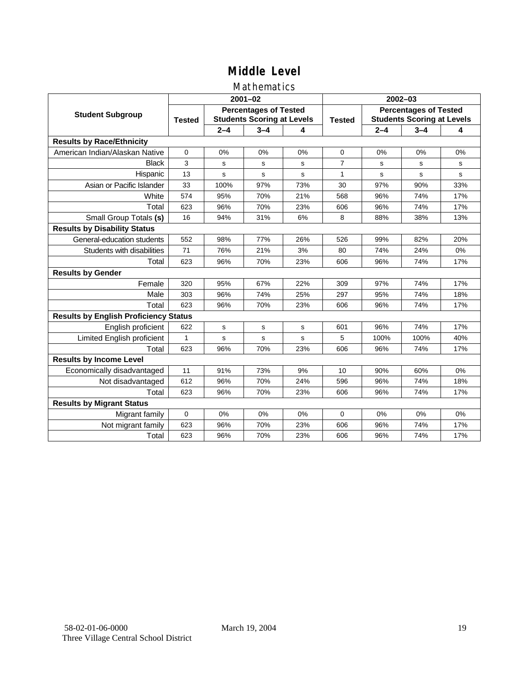#### Mathematics

|                                              |                                                                                    |             | $2001 - 02$ |               | 2002-03                                                           |         |         |     |
|----------------------------------------------|------------------------------------------------------------------------------------|-------------|-------------|---------------|-------------------------------------------------------------------|---------|---------|-----|
| <b>Student Subgroup</b>                      | <b>Percentages of Tested</b><br><b>Students Scoring at Levels</b><br><b>Tested</b> |             |             | <b>Tested</b> | <b>Percentages of Tested</b><br><b>Students Scoring at Levels</b> |         |         |     |
|                                              |                                                                                    | $2 - 4$     | $3 - 4$     | 4             |                                                                   | $2 - 4$ | $3 - 4$ | 4   |
| <b>Results by Race/Ethnicity</b>             |                                                                                    |             |             |               |                                                                   |         |         |     |
| American Indian/Alaskan Native               | $\mathbf 0$                                                                        | 0%          | 0%          | 0%            | $\mathbf 0$                                                       | 0%      | 0%      | 0%  |
| <b>Black</b>                                 | 3                                                                                  | s           | s           | s             | $\overline{7}$                                                    | s       | s       | s   |
| Hispanic                                     | 13                                                                                 | s           | s           | s             | $\mathbf{1}$                                                      | s       | s       | s   |
| Asian or Pacific Islander                    | 33                                                                                 | 100%        | 97%         | 73%           | 30                                                                | 97%     | 90%     | 33% |
| White                                        | 574                                                                                | 95%         | 70%         | 21%           | 568                                                               | 96%     | 74%     | 17% |
| Total                                        | 623                                                                                | 96%         | 70%         | 23%           | 606                                                               | 96%     | 74%     | 17% |
| Small Group Totals (s)                       | 16                                                                                 | 94%         | 31%         | 6%            | 8                                                                 | 88%     | 38%     | 13% |
| <b>Results by Disability Status</b>          |                                                                                    |             |             |               |                                                                   |         |         |     |
| General-education students                   | 552                                                                                | 98%         | 77%         | 26%           | 526                                                               | 99%     | 82%     | 20% |
| Students with disabilities                   | 71                                                                                 | 76%         | 21%         | 3%            | 80                                                                | 74%     | 24%     | 0%  |
| Total                                        | 623                                                                                | 96%         | 70%         | 23%           | 606                                                               | 96%     | 74%     | 17% |
| <b>Results by Gender</b>                     |                                                                                    |             |             |               |                                                                   |         |         |     |
| Female                                       | 320                                                                                | 95%         | 67%         | 22%           | 309                                                               | 97%     | 74%     | 17% |
| Male                                         | 303                                                                                | 96%         | 74%         | 25%           | 297                                                               | 95%     | 74%     | 18% |
| Total                                        | 623                                                                                | 96%         | 70%         | 23%           | 606                                                               | 96%     | 74%     | 17% |
| <b>Results by English Proficiency Status</b> |                                                                                    |             |             |               |                                                                   |         |         |     |
| English proficient                           | 622                                                                                | $\mathbf s$ | $\mathbf s$ | s             | 601                                                               | 96%     | 74%     | 17% |
| Limited English proficient                   | 1                                                                                  | s           | s           | s             | 5                                                                 | 100%    | 100%    | 40% |
| Total                                        | 623                                                                                | 96%         | 70%         | 23%           | 606                                                               | 96%     | 74%     | 17% |
| <b>Results by Income Level</b>               |                                                                                    |             |             |               |                                                                   |         |         |     |
| Economically disadvantaged                   | 11                                                                                 | 91%         | 73%         | 9%            | 10                                                                | 90%     | 60%     | 0%  |
| Not disadvantaged                            | 612                                                                                | 96%         | 70%         | 24%           | 596                                                               | 96%     | 74%     | 18% |
| Total                                        | 623                                                                                | 96%         | 70%         | 23%           | 606                                                               | 96%     | 74%     | 17% |
| <b>Results by Migrant Status</b>             |                                                                                    |             |             |               |                                                                   |         |         |     |
| Migrant family                               | 0                                                                                  | 0%          | 0%          | 0%            | $\Omega$                                                          | 0%      | 0%      | 0%  |
| Not migrant family                           | 623                                                                                | 96%         | 70%         | 23%           | 606                                                               | 96%     | 74%     | 17% |
| Total                                        | 623                                                                                | 96%         | 70%         | 23%           | 606                                                               | 96%     | 74%     | 17% |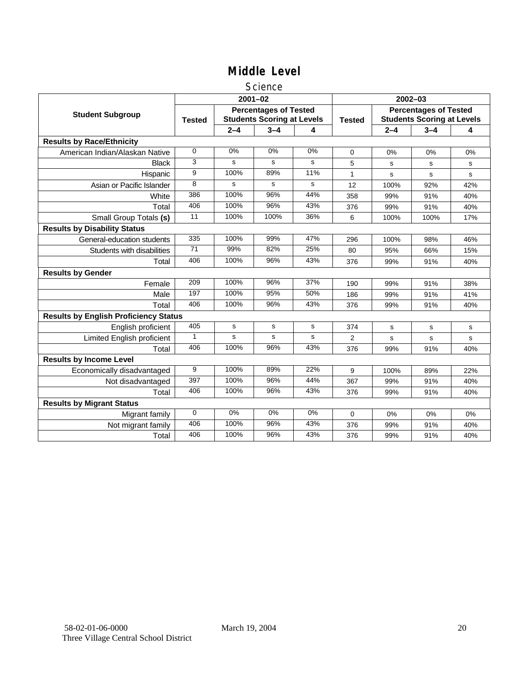#### **Science**

|                                              | $2001 - 02$     |             |                                                                   |           | $2002 - 03$    |                                                                   |         |     |
|----------------------------------------------|-----------------|-------------|-------------------------------------------------------------------|-----------|----------------|-------------------------------------------------------------------|---------|-----|
| <b>Student Subgroup</b>                      | <b>Tested</b>   |             | <b>Percentages of Tested</b><br><b>Students Scoring at Levels</b> |           | <b>Tested</b>  | <b>Percentages of Tested</b><br><b>Students Scoring at Levels</b> |         |     |
|                                              |                 | $2 - 4$     | $3 - 4$                                                           | 4         |                | $2 - 4$                                                           | $3 - 4$ | 4   |
| <b>Results by Race/Ethnicity</b>             |                 |             |                                                                   |           |                |                                                                   |         |     |
| American Indian/Alaskan Native               | 0               | 0%          | 0%                                                                | 0%        | $\Omega$       | 0%                                                                | 0%      | 0%  |
| <b>Black</b>                                 | 3               | s           | s                                                                 | s         | 5              | s                                                                 | s       | s   |
| Hispanic                                     | 9               | 100%        | 89%                                                               | 11%       | 1              | s                                                                 | s       | s   |
| Asian or Pacific Islander                    | 8               | s           | s                                                                 | s         | 12             | 100%                                                              | 92%     | 42% |
| White                                        | 386             | 100%        | 96%                                                               | 44%       | 358            | 99%                                                               | 91%     | 40% |
| Total                                        | 406             | 100%        | 96%                                                               | 43%       | 376            | 99%                                                               | 91%     | 40% |
| Small Group Totals (s)                       | 11              | 100%        | 100%                                                              | 36%       | 6              | 100%                                                              | 100%    | 17% |
| <b>Results by Disability Status</b>          |                 |             |                                                                   |           |                |                                                                   |         |     |
| General-education students                   | 335             | 100%        | 99%                                                               | 47%       | 296            | 100%                                                              | 98%     | 46% |
| Students with disabilities                   | $\overline{71}$ | 99%         | 82%                                                               | 25%       | 80             | 95%                                                               | 66%     | 15% |
| Total                                        | 406             | 100%        | 96%                                                               | 43%       | 376            | 99%                                                               | 91%     | 40% |
| <b>Results by Gender</b>                     |                 |             |                                                                   |           |                |                                                                   |         |     |
| Female                                       | 209             | 100%        | 96%                                                               | 37%       | 190            | 99%                                                               | 91%     | 38% |
| Male                                         | 197             | 100%        | 95%                                                               | 50%       | 186            | 99%                                                               | 91%     | 41% |
| Total                                        | 406             | 100%        | 96%                                                               | 43%       | 376            | 99%                                                               | 91%     | 40% |
| <b>Results by English Proficiency Status</b> |                 |             |                                                                   |           |                |                                                                   |         |     |
| English proficient                           | 405             | $\mathbf S$ | s                                                                 | ${\bf s}$ | 374            | s                                                                 | s       | s   |
| <b>Limited English proficient</b>            | $\mathbf{1}$    | s           | s                                                                 | s         | $\overline{2}$ | s                                                                 | s       | s   |
| Total                                        | 406             | 100%        | 96%                                                               | 43%       | 376            | 99%                                                               | 91%     | 40% |
| <b>Results by Income Level</b>               |                 |             |                                                                   |           |                |                                                                   |         |     |
| Economically disadvantaged                   | 9               | 100%        | 89%                                                               | 22%       | 9              | 100%                                                              | 89%     | 22% |
| Not disadvantaged                            | 397             | 100%        | 96%                                                               | 44%       | 367            | 99%                                                               | 91%     | 40% |
| Total                                        | 406             | 100%        | 96%                                                               | 43%       | 376            | 99%                                                               | 91%     | 40% |
| <b>Results by Migrant Status</b>             |                 |             |                                                                   |           |                |                                                                   |         |     |
| Migrant family                               | 0               | 0%          | 0%                                                                | 0%        | 0              | $0\%$                                                             | 0%      | 0%  |
| Not migrant family                           | 406             | 100%        | 96%                                                               | 43%       | 376            | 99%                                                               | 91%     | 40% |
| Total                                        | 406             | 100%        | 96%                                                               | 43%       | 376            | 99%                                                               | 91%     | 40% |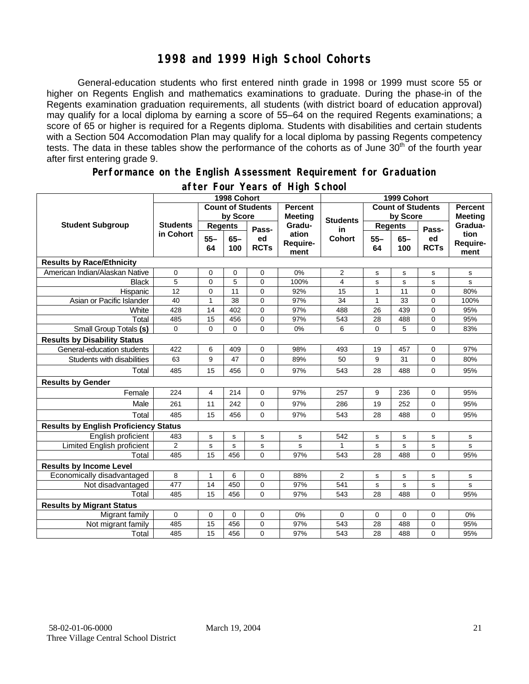## **1998 and 1999 High School Cohorts**

General-education students who first entered ninth grade in 1998 or 1999 must score 55 or higher on Regents English and mathematics examinations to graduate. During the phase-in of the Regents examination graduation requirements, all students (with district board of education approval) may qualify for a local diploma by earning a score of 55–64 on the required Regents examinations; a score of 65 or higher is required for a Regents diploma. Students with disabilities and certain students with a Section 504 Accomodation Plan may qualify for a local diploma by passing Regents competency tests. The data in these tables show the performance of the cohorts as of June 30<sup>th</sup> of the fourth year after first entering grade 9.

#### **Performance on the English Assessment Requirement for Graduation**

|                                              | 1998 Cohort                  |                          |               |                                  | 1999 Cohort               |                          |                |               |                                  |                          |
|----------------------------------------------|------------------------------|--------------------------|---------------|----------------------------------|---------------------------|--------------------------|----------------|---------------|----------------------------------|--------------------------|
| <b>Student Subgroup</b>                      |                              | <b>Count of Students</b> |               | <b>Percent</b><br><b>Meeting</b> |                           | <b>Count of Students</b> |                |               | <b>Percent</b><br><b>Meeting</b> |                          |
|                                              | <b>Students</b><br>in Cohort | by Score                 |               |                                  | <b>Students</b>           | by Score                 |                |               |                                  |                          |
|                                              |                              | <b>Regents</b>           |               | Pass-                            | Gradu-                    | in                       | <b>Regents</b> |               | Pass-                            | Gradua-                  |
|                                              |                              | $55 -$<br>64             | $65 -$<br>100 | ed<br><b>RCTs</b>                | ation<br>Require-<br>ment | <b>Cohort</b>            | $55 -$<br>64   | $65 -$<br>100 | ed<br><b>RCTs</b>                | tion<br>Require-<br>ment |
| <b>Results by Race/Ethnicity</b>             |                              |                          |               |                                  |                           |                          |                |               |                                  |                          |
| American Indian/Alaskan Native               | $\mathbf 0$                  | 0                        | 0             | $\mathbf 0$                      | 0%                        | $\overline{2}$           | s              | s             | s                                | s                        |
| <b>Black</b>                                 | 5                            | 0                        | 5             | $\Omega$                         | 100%                      | 4                        | s              | s             | s                                | s                        |
| Hispanic                                     | 12                           | 0                        | 11            | $\Omega$                         | 92%                       | 15                       | 1              | 11            | $\overline{0}$                   | 80%                      |
| Asian or Pacific Islander                    | 40                           | 1                        | 38            | $\Omega$                         | 97%                       | 34                       | $\mathbf{1}$   | 33            | $\mathbf 0$                      | 100%                     |
| White                                        | 428                          | 14                       | 402           | $\Omega$                         | 97%                       | 488                      | 26             | 439           | 0                                | 95%                      |
| Total                                        | 485                          | 15                       | 456           | 0                                | 97%                       | 543                      | 28             | 488           | 0                                | 95%                      |
| Small Group Totals (s)                       | $\Omega$                     | $\Omega$                 | $\Omega$      | $\Omega$                         | 0%                        | 6                        | $\overline{0}$ | 5             | $\overline{0}$                   | 83%                      |
| <b>Results by Disability Status</b>          |                              |                          |               |                                  |                           |                          |                |               |                                  |                          |
| General-education students                   | 422                          | 6                        | 409           | 0                                | 98%                       | 493                      | 19             | 457           | 0                                | 97%                      |
| Students with disabilities                   | 63                           | 9                        | 47            | 0                                | 89%                       | 50                       | 9              | 31            | $\mathbf 0$                      | 80%                      |
| Total                                        | 485                          | 15                       | 456           | $\mathbf 0$                      | 97%                       | 543                      | 28             | 488           | 0                                | 95%                      |
| <b>Results by Gender</b>                     |                              |                          |               |                                  |                           |                          |                |               |                                  |                          |
| Female                                       | 224                          | $\overline{4}$           | 214           | $\Omega$                         | 97%                       | 257                      | 9              | 236           | $\Omega$                         | 95%                      |
| Male                                         | 261                          | 11                       | 242           | $\Omega$                         | 97%                       | 286                      | 19             | 252           | $\Omega$                         | 95%                      |
| Total                                        | 485                          | 15                       | 456           | $\Omega$                         | 97%                       | 543                      | 28             | 488           | $\Omega$                         | 95%                      |
| <b>Results by English Proficiency Status</b> |                              |                          |               |                                  |                           |                          |                |               |                                  |                          |
| English proficient                           | 483                          | $\mathbf s$              | $\mathbf s$   | $\mathbf s$                      | $\mathbf s$               | 542                      | s              | s             | s                                | s                        |
| Limited English proficient                   | $\mathbf{2}$                 | s                        | s             | s                                | s                         | 1                        | s              | s             | s                                | s                        |
| Total                                        | 485                          | 15                       | 456           | $\Omega$                         | 97%                       | 543                      | 28             | 488           | $\Omega$                         | 95%                      |
| <b>Results by Income Level</b>               |                              |                          |               |                                  |                           |                          |                |               |                                  |                          |
| Economically disadvantaged                   | 8                            | $\mathbf{1}$             | 6             | 0                                | 88%                       | $\overline{2}$           | s              | s             | s                                | s                        |
| Not disadvantaged                            | 477                          | 14                       | 450           | 0                                | 97%                       | 541                      | s              | s             | s                                | s                        |
| Total                                        | 485                          | 15                       | 456           | $\Omega$                         | 97%                       | 543                      | 28             | 488           | $\overline{0}$                   | 95%                      |
| <b>Results by Migrant Status</b>             |                              |                          |               |                                  |                           |                          |                |               |                                  |                          |
| Migrant family                               | $\mathbf 0$                  | 0                        | 0             | $\mathbf 0$                      | 0%                        | $\Omega$                 | $\mathbf 0$    | 0             | $\mathbf 0$                      | 0%                       |
| Not migrant family                           | 485                          | 15                       | 456           | 0                                | 97%                       | 543                      | 28             | 488           | 0                                | 95%                      |
| Total                                        | 485                          | 15                       | 456           | $\mathbf 0$                      | 97%                       | 543                      | 28             | 488           | 0                                | 95%                      |

#### **after Four Years of High School**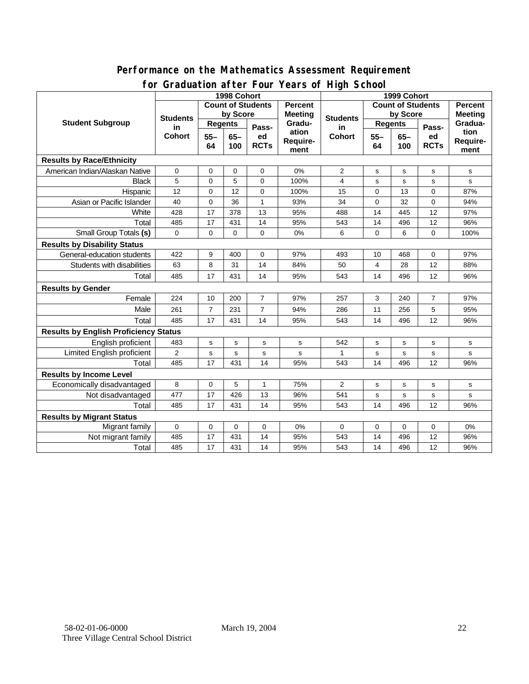#### **for Graduation after Four Years of High School 1998 Cohort 1999 Cohort Count of Students by Score Count of Students by Score Student Subgroup** Students **Regents Bluess** Students **Regents** Students **Regents** Students **Regents in Cohort 55– 64 65– 100 Passed RCTs Percent Meeting Graduation Requirement Students in Cohort 55– 64 65– 100 Passed RCTs Percent Meeting Graduation Requirement Results by Race/Ethnicity**  American Indian/Alaskan Native | 0 | 0 | 0 | 0 | 0 | 0 | 0 | 2 | s | s | s | s | Black | 5 | 0 | 5 | 0 | 100% | 4 | s | s | s | s Hispanic | 12 | 0 | 12 | 0 | 100% | 15 | 0 | 13 | 0 | 87% Asian or Pacific Islander 40 0 36 1 93% 34 0 32 0 94% White | 428 | 17 | 378 | 13 | 95% | 488 | 14 | 445 | 12 | 97% Total 485 17 431 14 95% 543 14 496 12 96% Small Group Totals **(s)** 0 0 0 0 0% 6 0 6 0 100% **Results by Disability Status**  General-education students | 422 | 9 | 400 | 0 | 97% | 493 | 10 | 468 | 0 | 97% Students with disabilities | 63 | 8 | 31 | 14 | 84% | 50 | 4 | 28 | 12 | 88% Total 485 17 431 14 95% 543 14 496 12 96% **Results by Gender**  Female 224 10 200 7 97% 257 3 240 7 97% Male 261 7 231 7 94% 286 11 256 5 95% Total 485 17 431 14 95% 543 14 496 12 96% **Results by English Proficiency Status**  English proficient 483 s s s s 542 s s s s Limited English proficient 2 s s s s 1 s s s s Total | 485 | 17 | 431 | 14 | 95% | 543 | 14 | 496 | 12 | 96% **Results by Income Level**  Economically disadvantaged 8 0 5 1 75% 2 s s s s Not disadvantaged 477 17 426 13 96% 541 s s s s Total | 485 | 17 | 431 | 14 | 95% | 543 | 14 | 496 | 12 | 96% **Results by Migrant Status**  Migrant family 0 0 0 0 0% 0 0 0 0 0% Not migrant family 485 17 431 14 95% 543 14 496 12 96% Total | 485 | 17 | 431 | 14 | 95% | 543 | 14 | 496 | 12 | 96%

# **Performance on the Mathematics Assessment Requirement**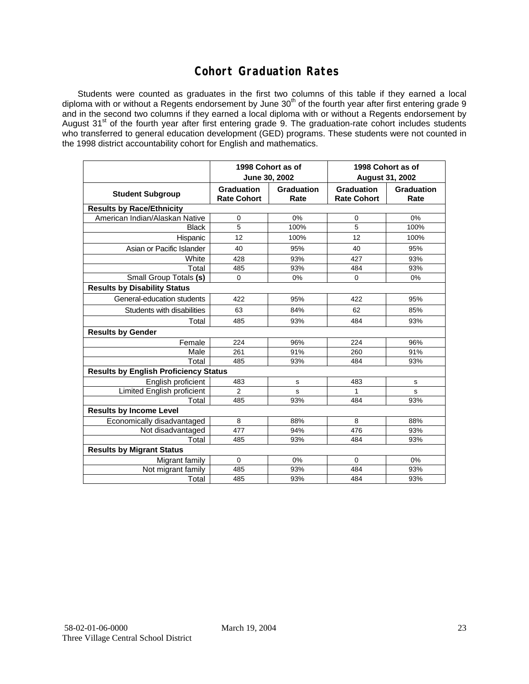## **Cohort Graduation Rates**

Students were counted as graduates in the first two columns of this table if they earned a local diploma with or without a Regents endorsement by June 30<sup>th</sup> of the fourth year after first entering grade 9 and in the second two columns if they earned a local diploma with or without a Regents endorsement by August 31<sup>st</sup> of the fourth year after first entering grade 9. The graduation-rate cohort includes students who transferred to general education development (GED) programs. These students were not counted in the 1998 district accountability cohort for English and mathematics.

|                                              |                                  | 1998 Cohort as of<br>June 30, 2002 | 1998 Cohort as of<br><b>August 31, 2002</b> |                    |  |  |  |  |  |
|----------------------------------------------|----------------------------------|------------------------------------|---------------------------------------------|--------------------|--|--|--|--|--|
| <b>Student Subgroup</b>                      | Graduation<br><b>Rate Cohort</b> | Graduation<br>Rate                 | <b>Graduation</b><br><b>Rate Cohort</b>     | Graduation<br>Rate |  |  |  |  |  |
| <b>Results by Race/Ethnicity</b>             |                                  |                                    |                                             |                    |  |  |  |  |  |
| American Indian/Alaskan Native               | 0                                | 0%                                 | 0                                           | 0%                 |  |  |  |  |  |
| <b>Black</b>                                 | 5                                | 100%                               | 5                                           | 100%               |  |  |  |  |  |
| Hispanic                                     | 12                               | 100%                               | 12                                          | 100%               |  |  |  |  |  |
| Asian or Pacific Islander                    | 40                               | 95%                                | 40                                          | 95%                |  |  |  |  |  |
| White                                        | 428                              | 93%                                | 427                                         | 93%                |  |  |  |  |  |
| Total                                        | 485                              | 93%                                | 484                                         | 93%                |  |  |  |  |  |
| Small Group Totals (s)                       | $\mathbf 0$                      | 0%                                 | 0                                           | 0%                 |  |  |  |  |  |
| <b>Results by Disability Status</b>          |                                  |                                    |                                             |                    |  |  |  |  |  |
| General-education students                   | 422                              | 95%                                | 422                                         | 95%                |  |  |  |  |  |
| Students with disabilities                   | 63                               | 84%                                | 62                                          | 85%                |  |  |  |  |  |
| Total                                        | 485                              | 93%                                | 484                                         | 93%                |  |  |  |  |  |
| <b>Results by Gender</b>                     |                                  |                                    |                                             |                    |  |  |  |  |  |
| Female                                       | 224                              | 96%                                | 224                                         | 96%                |  |  |  |  |  |
| Male                                         | 261                              | 91%                                | 260                                         | 91%                |  |  |  |  |  |
| Total                                        | 485                              | 93%                                | 484                                         | 93%                |  |  |  |  |  |
| <b>Results by English Proficiency Status</b> |                                  |                                    |                                             |                    |  |  |  |  |  |
| English proficient                           | 483                              | s                                  | 483                                         | s                  |  |  |  |  |  |
| <b>Limited English proficient</b>            | $\overline{2}$                   | s                                  | 1                                           | S                  |  |  |  |  |  |
| Total                                        | 485                              | 93%                                | 484                                         | 93%                |  |  |  |  |  |
| <b>Results by Income Level</b>               |                                  |                                    |                                             |                    |  |  |  |  |  |
| Economically disadvantaged                   | 8                                | 88%                                | 8                                           | 88%                |  |  |  |  |  |
| Not disadvantaged                            | 477                              | 94%                                | 476                                         | 93%                |  |  |  |  |  |
| Total                                        | 485                              | 93%                                | 484                                         | 93%                |  |  |  |  |  |
| <b>Results by Migrant Status</b>             |                                  |                                    |                                             |                    |  |  |  |  |  |
| Migrant family                               | $\Omega$                         | 0%                                 | $\Omega$                                    | 0%                 |  |  |  |  |  |
| Not migrant family                           | 485                              | 93%                                | 484                                         | 93%                |  |  |  |  |  |
| Total                                        | 485                              | 93%                                | 484                                         | 93%                |  |  |  |  |  |